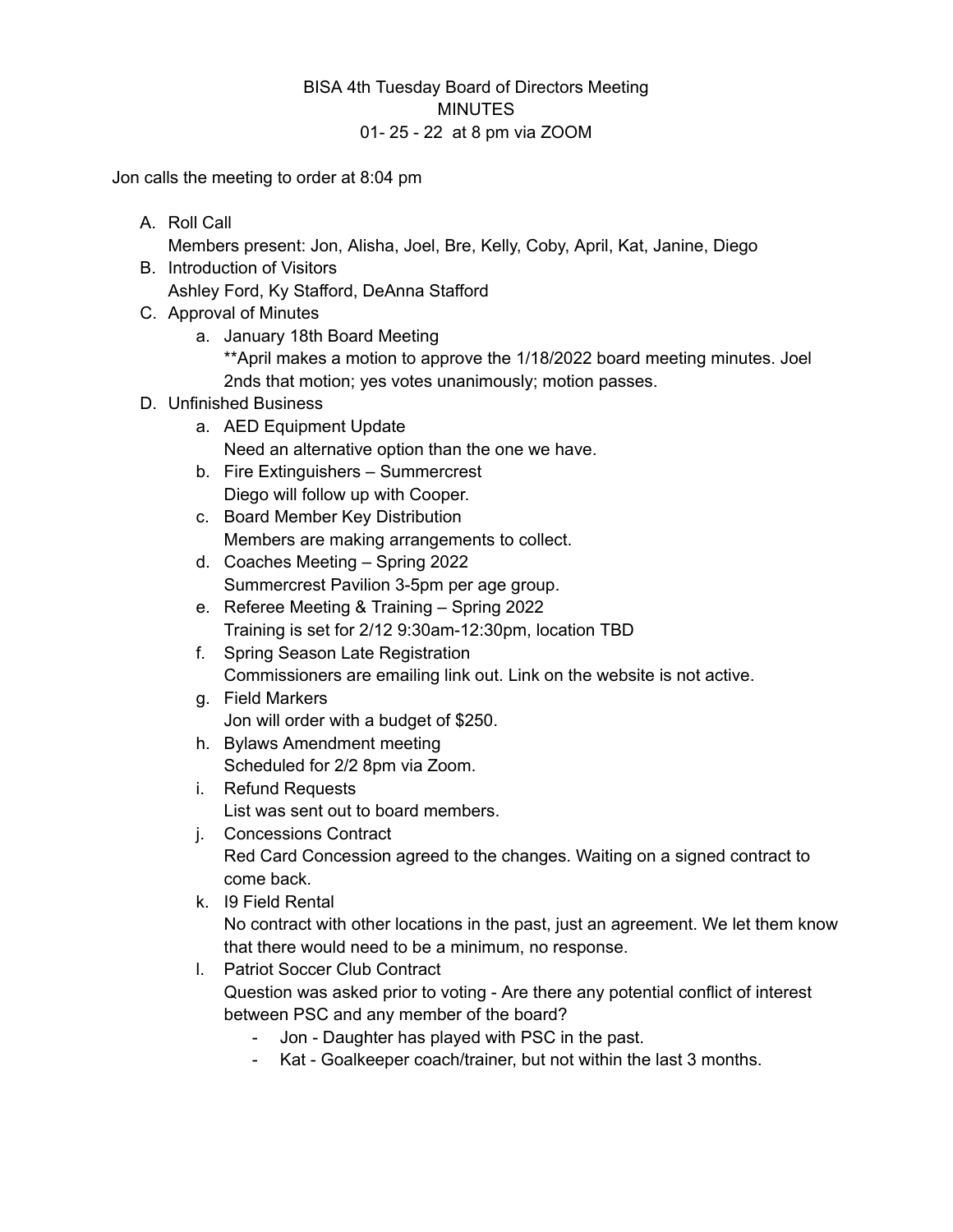## BISA 4th Tuesday Board of Directors Meeting **MINUTES** 01- 25 - 22 at 8 pm via ZOOM

Jon calls the meeting to order at 8:04 pm

A. Roll Call

Members present: Jon, Alisha, Joel, Bre, Kelly, Coby, April, Kat, Janine, Diego

- B. Introduction of Visitors Ashley Ford, Ky Stafford, DeAnna Stafford
- C. Approval of Minutes
	- a. January 18th Board Meeting \*\*April makes a motion to approve the 1/18/2022 board meeting minutes. Joel 2nds that motion; yes votes unanimously; motion passes.
- D. Unfinished Business
	- a. AED Equipment Update Need an alternative option than the one we have.
	- b. Fire Extinguishers Summercrest Diego will follow up with Cooper.
	- c. Board Member Key Distribution Members are making arrangements to collect.
	- d. Coaches Meeting Spring 2022 Summercrest Pavilion 3-5pm per age group.
	- e. Referee Meeting & Training Spring 2022 Training is set for 2/12 9:30am-12:30pm, location TBD
	- f. Spring Season Late Registration Commissioners are emailing link out. Link on the website is not active.
	- g. Field Markers Jon will order with a budget of \$250.
	- h. Bylaws Amendment meeting Scheduled for 2/2 8pm via Zoom.
	- i. Refund Requests List was sent out to board members.
	- j. Concessions Contract Red Card Concession agreed to the changes. Waiting on a signed contract to come back.
	- k. I9 Field Rental No contract with other locations in the past, just an agreement. We let them know that there would need to be a minimum, no response.
	- l. Patriot Soccer Club Contract Question was asked prior to voting - Are there any potential conflict of interest between PSC and any member of the board?
		- Jon Daughter has played with PSC in the past.
		- Kat Goalkeeper coach/trainer, but not within the last 3 months.